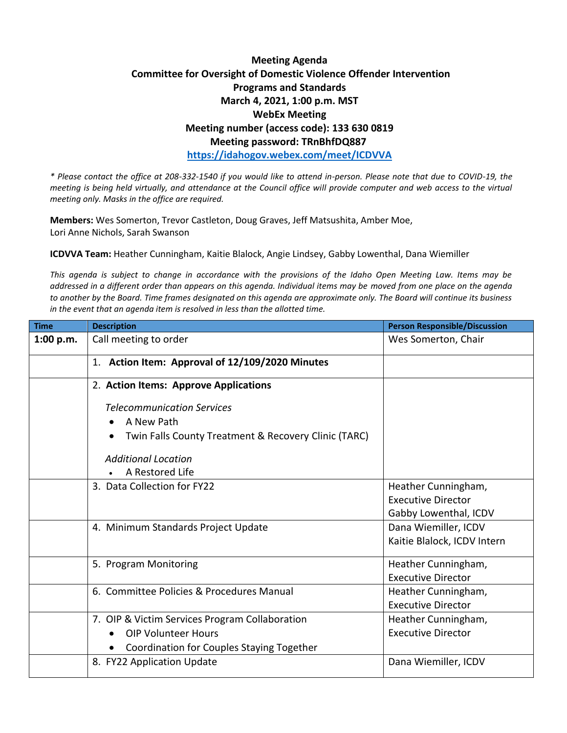## **Meeting Agenda Committee for Oversight of Domestic Violence Offender Intervention Programs and Standards March 4, 2021, 1:00 p.m. MST WebEx Meeting Meeting number (access code): 133 630 0819 Meeting password: TRnBhfDQ887 <https://idahogov.webex.com/meet/ICDVVA>**

*\* Please contact the office at 208-332-1540 if you would like to attend in-person. Please note that due to COVID-19, the meeting is being held virtually, and attendance at the Council office will provide computer and web access to the virtual meeting only. Masks in the office are required.* 

**Members:** Wes Somerton, Trevor Castleton, Doug Graves, Jeff Matsushita, Amber Moe, Lori Anne Nichols, Sarah Swanson

**ICDVVA Team:** Heather Cunningham, Kaitie Blalock, Angie Lindsey, Gabby Lowenthal, Dana Wiemiller

*This agenda is subject to change in accordance with the provisions of the Idaho Open Meeting Law. Items may be addressed in a different order than appears on this agenda. Individual items may be moved from one place on the agenda to another by the Board. Time frames designated on this agenda are approximate only. The Board will continue its business in the event that an agenda item is resolved in less than the allotted time.* 

| <b>Time</b> | <b>Description</b>                                                | <b>Person Responsible/Discussion</b> |
|-------------|-------------------------------------------------------------------|--------------------------------------|
| 1:00 p.m.   | Call meeting to order                                             | Wes Somerton, Chair                  |
|             | 1. Action Item: Approval of 12/109/2020 Minutes                   |                                      |
|             | 2. Action Items: Approve Applications                             |                                      |
|             | <b>Telecommunication Services</b>                                 |                                      |
|             | A New Path                                                        |                                      |
|             | Twin Falls County Treatment & Recovery Clinic (TARC)<br>$\bullet$ |                                      |
|             | <b>Additional Location</b>                                        |                                      |
|             | A Restored Life                                                   |                                      |
|             | 3. Data Collection for FY22                                       | Heather Cunningham,                  |
|             |                                                                   | <b>Executive Director</b>            |
|             |                                                                   | Gabby Lowenthal, ICDV                |
|             | 4. Minimum Standards Project Update                               | Dana Wiemiller, ICDV                 |
|             |                                                                   | Kaitie Blalock, ICDV Intern          |
|             | 5. Program Monitoring                                             | Heather Cunningham,                  |
|             |                                                                   | <b>Executive Director</b>            |
|             | 6. Committee Policies & Procedures Manual                         | Heather Cunningham,                  |
|             |                                                                   | <b>Executive Director</b>            |
|             | 7. OIP & Victim Services Program Collaboration                    | Heather Cunningham,                  |
|             | <b>OIP Volunteer Hours</b>                                        | <b>Executive Director</b>            |
|             | Coordination for Couples Staying Together                         |                                      |
|             | 8. FY22 Application Update                                        | Dana Wiemiller, ICDV                 |